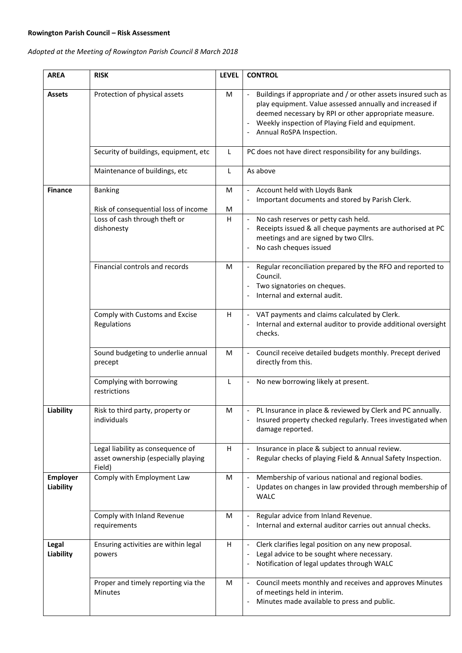## **Rowington Parish Council – Risk Assessment**

*Adopted at the Meeting of Rowington Parish Council 8 March 2018*

| <b>AREA</b>                  | <b>RISK</b>                                                                        | <b>LEVEL</b>              | <b>CONTROL</b>                                                                                                                                                                                                                                                       |
|------------------------------|------------------------------------------------------------------------------------|---------------------------|----------------------------------------------------------------------------------------------------------------------------------------------------------------------------------------------------------------------------------------------------------------------|
| Assets                       | Protection of physical assets                                                      | M                         | Buildings if appropriate and / or other assets insured such as<br>play equipment. Value assessed annually and increased if<br>deemed necessary by RPI or other appropriate measure.<br>Weekly inspection of Playing Field and equipment.<br>Annual RoSPA Inspection. |
|                              | Security of buildings, equipment, etc                                              | L                         | PC does not have direct responsibility for any buildings.                                                                                                                                                                                                            |
|                              | Maintenance of buildings, etc                                                      | L                         | As above                                                                                                                                                                                                                                                             |
| <b>Finance</b>               | <b>Banking</b><br>Risk of consequential loss of income                             | M<br>M                    | Account held with Lloyds Bank<br>Important documents and stored by Parish Clerk.                                                                                                                                                                                     |
|                              | Loss of cash through theft or<br>dishonesty                                        | H                         | No cash reserves or petty cash held.<br>Receipts issued & all cheque payments are authorised at PC<br>meetings and are signed by two Cllrs.<br>No cash cheques issued                                                                                                |
|                              | Financial controls and records                                                     | M                         | - Regular reconciliation prepared by the RFO and reported to<br>Council.<br>Two signatories on cheques.<br>Internal and external audit.                                                                                                                              |
|                              | Comply with Customs and Excise<br>Regulations                                      | $\boldsymbol{\mathsf{H}}$ | VAT payments and claims calculated by Clerk.<br>Internal and external auditor to provide additional oversight<br>checks.                                                                                                                                             |
|                              | Sound budgeting to underlie annual<br>precept                                      | M                         | Council receive detailed budgets monthly. Precept derived<br>directly from this.                                                                                                                                                                                     |
|                              | Complying with borrowing<br>restrictions                                           | L                         | No new borrowing likely at present.<br>$\qquad \qquad -$                                                                                                                                                                                                             |
| Liability                    | Risk to third party, property or<br>individuals                                    | М                         | - PL Insurance in place & reviewed by Clerk and PC annually.<br>Insured property checked regularly. Trees investigated when<br>damage reported.                                                                                                                      |
|                              | Legal liability as consequence of<br>asset ownership (especially playing<br>Field) | H                         | Insurance in place & subject to annual review.<br>Regular checks of playing Field & Annual Safety Inspection.                                                                                                                                                        |
| <b>Employer</b><br>Liability | Comply with Employment Law                                                         | M                         | Membership of various national and regional bodies.<br>Updates on changes in law provided through membership of<br><b>WALC</b>                                                                                                                                       |
|                              | Comply with Inland Revenue<br>requirements                                         | M                         | Regular advice from Inland Revenue.<br>Internal and external auditor carries out annual checks.                                                                                                                                                                      |
| Legal<br>Liability           | Ensuring activities are within legal<br>powers                                     | H                         | Clerk clarifies legal position on any new proposal.<br>Legal advice to be sought where necessary.<br>Notification of legal updates through WALC                                                                                                                      |
|                              | Proper and timely reporting via the<br>Minutes                                     | M                         | Council meets monthly and receives and approves Minutes<br>of meetings held in interim.<br>Minutes made available to press and public.                                                                                                                               |